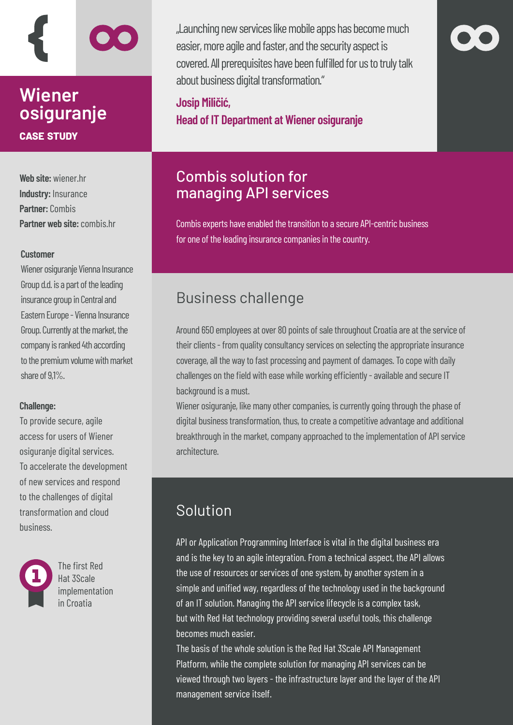# **Wiener osiguranje case study**

**Web site:** wiener.hr **Industry:** Insurance **Partner:** Combis **Partner web site: combis br** 

#### **Customer**

Wiener osiguranje Vienna Insurance Group d.d. is a part of the leading insurance group in Central and Eastern Europe - Vienna Insurance Group. Currently at the market, the company is ranked 4th according to the premium volume with market share of 9,1%.

#### **Challenge:**

To provide secure, agile access for users of Wiener osiguranje digital services. To accelerate the development of new services and respond to the challenges of digital transformation and cloud business.



The first Red Hat 3Scale implementation in Croatia

"Launching new services like mobile apps has become much easier, more agile and faster, and the security aspect is covered. All prerequisites have been fulfilled for us to truly talk about business digital transformation."

**Josip Miličić, Head of IT Department at Wiener osiguranje**

# Combis solution for managing API services

Combis experts have enabled the transition to a secure API-centric business for one of the leading insurance companies in the country.

# Business challenge

Around 650 employees at over 80 points of sale throughout Croatia are at the service of their clients - from quality consultancy services on selecting the appropriate insurance coverage, all the way to fast processing and payment of damages. To cope with daily challenges on the field with ease while working efficiently - available and secure IT background is a must.

Wiener osiguranje, like many other companies, is currently going through the phase of digital business transformation, thus, to create a competitive advantage and additional breakthrough in the market, company approached to the implementation of API service architecture.

# Solution

API or Application Programming Interface is vital in the digital business era and is the key to an agile integration. From a technical aspect, the API allows the use of resources or services of one system, by another system in a simple and unified way, regardless of the technology used in the background of an IT solution. Managing the API service lifecycle is a complex task, but with Red Hat technology providing several useful tools, this challenge becomes much easier.

The basis of the whole solution is the Red Hat 3Scale API Management Platform, while the complete solution for managing API services can be viewed through two layers - the infrastructure layer and the layer of the API management service itself.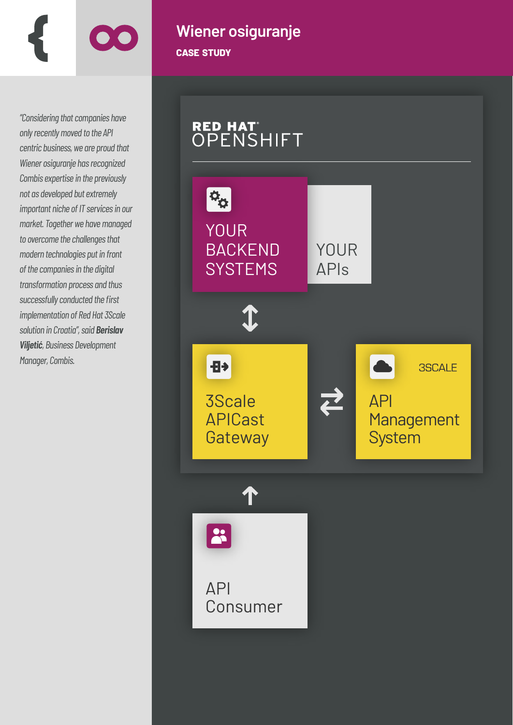

*"Considering that companies have only recently moved to the API centric business, we are proud that Wiener osiguranje has recognized Combis expertise in the previously not as developed but extremely important niche of IT services in our market. Together we have managed to overcome the challenges that modern technologies put in front of the companies in the digital transformation process and thus successfully conducted the first implementation of Red Hat 3Scale solution in Croatia", said Berislav Viljetić, Business Development Manager, Combis.*

# **Wiener osiguranje case study**

RED HAT<sup>®</sup><br>OPENSHIFT  $\phi_{\alpha}$ YOUR BACKEND YOUR **SYSTEMS** APIs  $\hat{\textbf{t}}$ Ð **3SCALE** 3Scale API  $\sum$ Management APICast **System Gateway**  $\sim$ API Consumer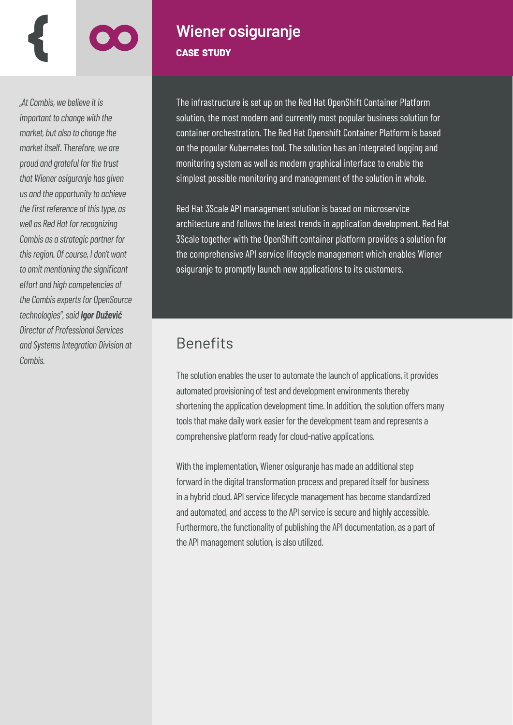### *"At Combis, we believe it is important to change with the market, but also to change the market itself. Therefore, we are proud and grateful for the trust that Wiener osiguranje has given us and the opportunity to achieve the first reference of this type, as well as Red Hat for recognizing Combis as a strategic partner for this region. Of course, I don't want to omit mentioning the significant effort and high competencies of the Combis experts for OpenSource technologies", said Igor Dužević Director of Professional Services and Systems Integration Division at Combis.*

# **Wiener osiguranje case study**

The infrastructure is set up on the Red Hat OpenShift Container Platform solution, the most modern and currently most popular business solution for container orchestration. The Red Hat Openshift Container Platform is based on the popular Kubernetes tool. The solution has an integrated logging and monitoring system as well as modern graphical interface to enable the simplest possible monitoring and management of the solution in whole.

Red Hat 3Scale API management solution is based on microservice architecture and follows the latest trends in application development. Red Hat 3Scale together with the OpenShift container platform provides a solution for the comprehensive API service lifecycle management which enables Wiener osiguranje to promptly launch new applications to its customers.

## Benefits

The solution enables the user to automate the launch of applications, it provides automated provisioning of test and development environments thereby shortening the application development time. In addition, the solution offers many tools that make daily work easier for the development team and represents a comprehensive platform ready for cloud-native applications.

With the implementation, Wiener osiguranje has made an additional step forward in the digital transformation process and prepared itself for business in a hybrid cloud. API service lifecycle management has become standardized and automated, and access to the API service is secure and highly accessible. Furthermore, the functionality of publishing the API documentation, as a part of the API management solution, is also utilized.